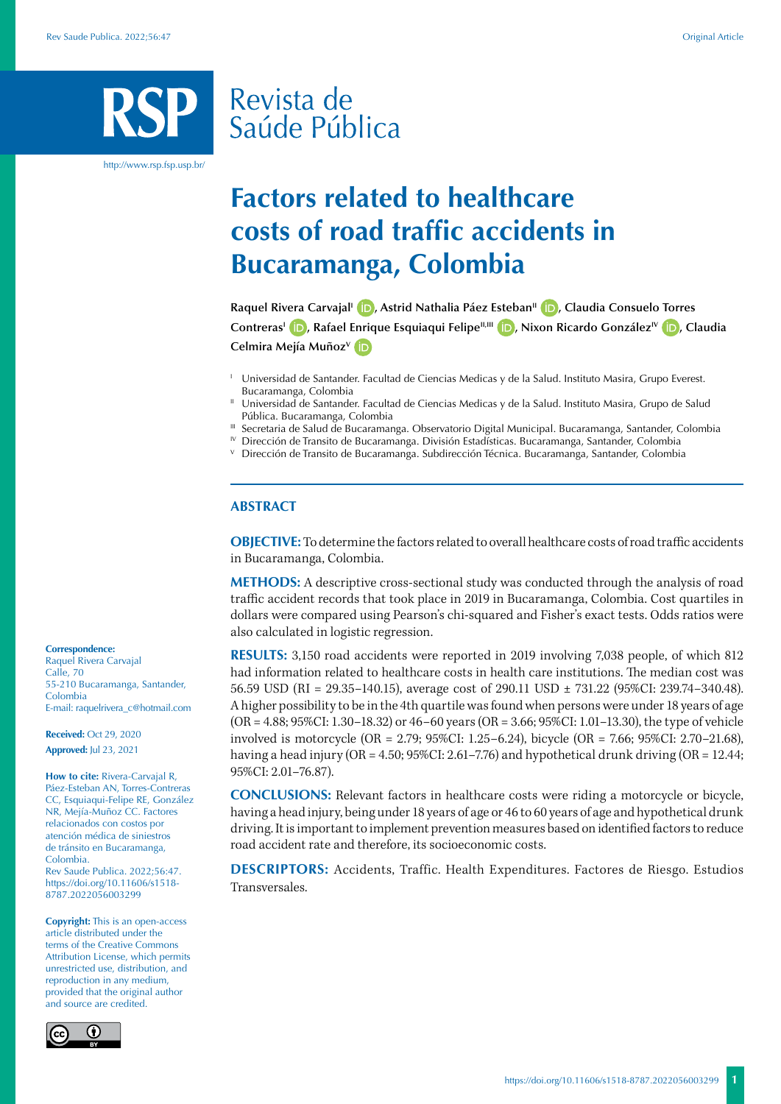# Revista de Saúde Pública

http://www.rsp.fsp.usp.br/

## **Factors related to healthcare costs of road traffic accidents in Bucaramanga, Colombia**

Raquel Rivera Carvajal<sup>I</sup> **(b)**[,](https://orcid.org/0000-0003-0666-9285) Astrid Nathalia Páez Esteban<sup>II</sup> **(b)**[,](https://orcid.org/0000-0003-0010-7564) Claudia Consuelo Torres **ContrerasI [,](https://orcid.org/0000-0001-7064-9380) Rafael Enrique Esquiaqui FelipeII,III [,](https://orcid.org/0000-0001-5476-0281) Nixon Ricardo GonzálezIV [,](https://orcid.org/0000-0002-7695-3321) Claudia Celmira Mejía MuñozV**

<sup>1</sup> Universidad de Santander. Facultad de Ciencias Medicas y de la Salud. Instituto Masira, Grupo Everest. Bucaramanga, Colombia

 $\text{I}$  Universidad de Santander. Facultad de Ciencias Medicas y de la Salud. Instituto Masira, Grupo de Salud Pública. Bucaramanga, Colombia

<sup>III</sup> Secretaria de Salud de Bucaramanga. Observatorio Digital Municipal. Bucaramanga, Santander, Colombia

 $\mathbb{I}^{V}$  Dirección de Transito de Bucaramanga. División Estadísticas. Bucaramanga, Santander, Colombia

<sup>V</sup> Dirección de Transito de Bucaramanga. Subdirección Técnica. Bucaramanga, Santander, Colombia

#### **ABSTRACT**

**OBJECTIVE:** To determine the factors related to overall healthcare costs of road traffic accidents in Bucaramanga, Colombia.

**METHODS:** A descriptive cross-sectional study was conducted through the analysis of road traffic accident records that took place in 2019 in Bucaramanga, Colombia. Cost quartiles in dollars were compared using Pearson's chi-squared and Fisher's exact tests. Odds ratios were also calculated in logistic regression.

**RESULTS:** 3,150 road accidents were reported in 2019 involving 7,038 people, of which 812 had information related to healthcare costs in health care institutions. The median cost was 56.59 USD (RI = 29.35–140.15), average cost of 290.11 USD ± 731.22 (95%CI: 239.74–340.48). A higher possibility to be in the 4th quartile was found when persons were under 18 years of age (OR = 4.88; 95%CI: 1.30–18.32) or 46–60 years (OR = 3.66; 95%CI: 1.01–13.30), the type of vehicle involved is motorcycle (OR = 2.79; 95%CI: 1.25–6.24), bicycle (OR = 7.66; 95%CI: 2.70–21.68), having a head injury (OR = 4.50; 95%CI: 2.61–7.76) and hypothetical drunk driving (OR = 12.44; 95%CI: 2.01–76.87).

**CONCLUSIONS:** Relevant factors in healthcare costs were riding a motorcycle or bicycle, having a head injury, being under 18 years of age or 46 to 60 years of age and hypothetical drunk driving. It is important to implement prevention measures based on identified factors to reduce road accident rate and therefore, its socioeconomic costs.

**DESCRIPTORS:** Accidents, Traffic. Health Expenditures. Factores de Riesgo. Estudios Transversales.

**Correspondence:** Raquel Rivera Carvajal

Calle, 70 55-210 Bucaramanga, Santander, Colombia E-mail: raquelrivera\_c@hotmail.com

**Received:** Oct 29, 2020 **Approved:** Jul 23, 2021

**How to cite:** Rivera-Carvajal R, Páez-Esteban AN, Torres-Contreras CC, Esquiaqui-Felipe RE, González NR, Mejía-Muñoz CC. Factores relacionados con costos por atención médica de siniestros de tránsito en Bucaramanga, Colombia. Rev Saude Publica. 2022;56:47. https://doi.org/10.11606/s1518- 8787.2022056003299

**Copyright:** This is an open-access article distributed under the terms of the Creative Commons Attribution License, which permits unrestricted use, distribution, and reproduction in any medium, provided that the original author and source are credited.

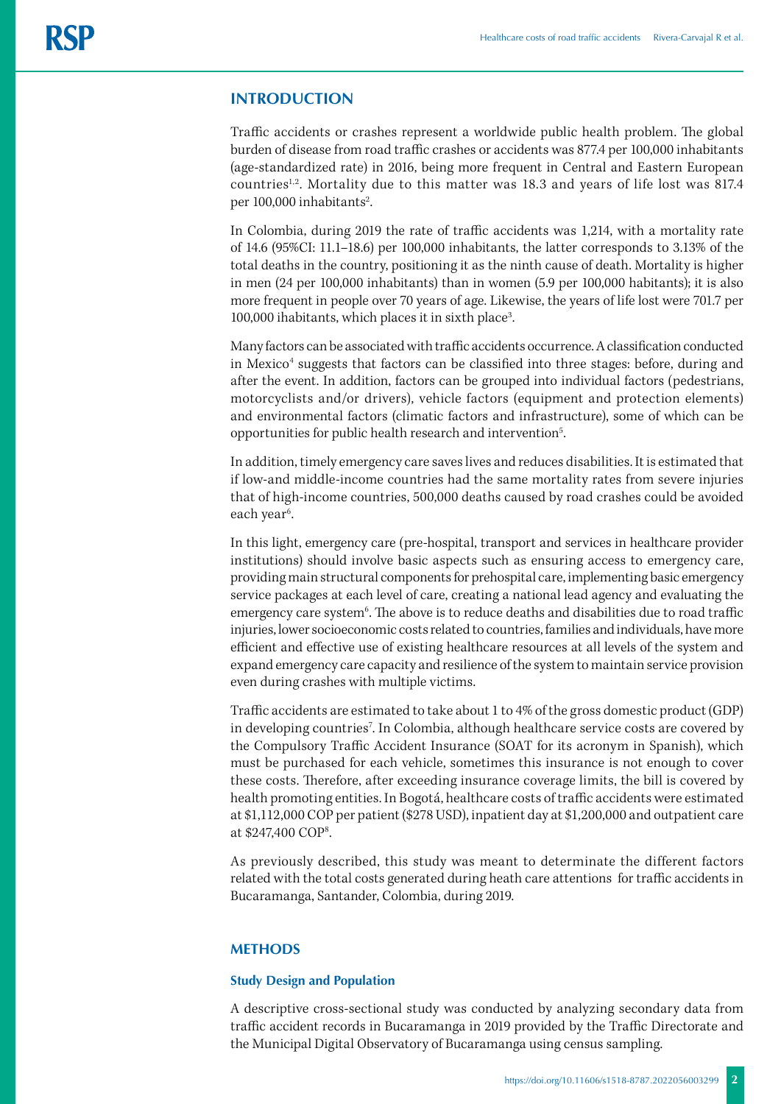#### **INTRODUCTION**

Traffic accidents or crashes represent a worldwide public health problem. The global burden of disease from road traffic crashes or accidents was 877.4 per 100,000 inhabitants (age-standardized rate) in 2016, being more frequent in Central and Eastern European countries<sup>1,2</sup>. Mortality due to this matter was 18.3 and years of life lost was 817.4 per 100,000 inhabitants<sup>2</sup>. .

In Colombia, during 2019 the rate of traffic accidents was 1,214, with a mortality rate of 14.6 (95%CI: 11.1–18.6) per 100,000 inhabitants, the latter corresponds to 3.13% of the total deaths in the country, positioning it as the ninth cause of death. Mortality is higher in men (24 per 100,000 inhabitants) than in women (5.9 per 100,000 habitants); it is also more frequent in people over 70 years of age. Likewise, the years of life lost were 701.7 per 100,000 ihabitants, which places it in sixth place<sup>3</sup>. .

Many factors can be associated with traffic accidents occurrence. A classification conducted in Mexico<sup>4</sup> suggests that factors can be classified into three stages: before, during and after the event. In addition, factors can be grouped into individual factors (pedestrians, motorcyclists and/or drivers), vehicle factors (equipment and protection elements) and environmental factors (climatic factors and infrastructure), some of which can be opportunities for public health research and intervention<sup>5</sup>. .

In addition, timely emergency care saves lives and reduces disabilities. It is estimated that if low-and middle-income countries had the same mortality rates from severe injuries that of high-income countries, 500,000 deaths caused by road crashes could be avoided each year<sup>6</sup>. .

In this light, emergency care (pre-hospital, transport and services in healthcare provider institutions) should involve basic aspects such as ensuring access to emergency care, providing main structural components for prehospital care, implementing basic emergency service packages at each level of care, creating a national lead agency and evaluating the emergency care system<sup>6</sup>. The above is to reduce deaths and disabilities due to road traffic injuries, lower socioeconomic costs related to countries, families and individuals, have more efficient and effective use of existing healthcare resources at all levels of the system and expand emergency care capacity and resilience of the system to maintain service provision even during crashes with multiple victims.

Traffic accidents are estimated to take about 1 to 4% of the gross domestic product (GDP) in developing countries<sup>7</sup>. In Colombia, although healthcare service costs are covered by the Compulsory Traffic Accident Insurance (SOAT for its acronym in Spanish), which must be purchased for each vehicle, sometimes this insurance is not enough to cover these costs. Therefore, after exceeding insurance coverage limits, the bill is covered by health promoting entities. In Bogotá, healthcare costs of traffic accidents were estimated at \$1,112,000 COP per patient (\$278 USD), inpatient day at \$1,200,000 and outpatient care at \$247,400 COP8 .

As previously described, this study was meant to determinate the different factors related with the total costs generated during heath care attentions for traffic accidents in Bucaramanga, Santander, Colombia, during 2019.

#### **METHODS**

#### **Study Design and Population**

A descriptive cross-sectional study was conducted by analyzing secondary data from traffic accident records in Bucaramanga in 2019 provided by the Traffic Directorate and the Municipal Digital Observatory of Bucaramanga using census sampling.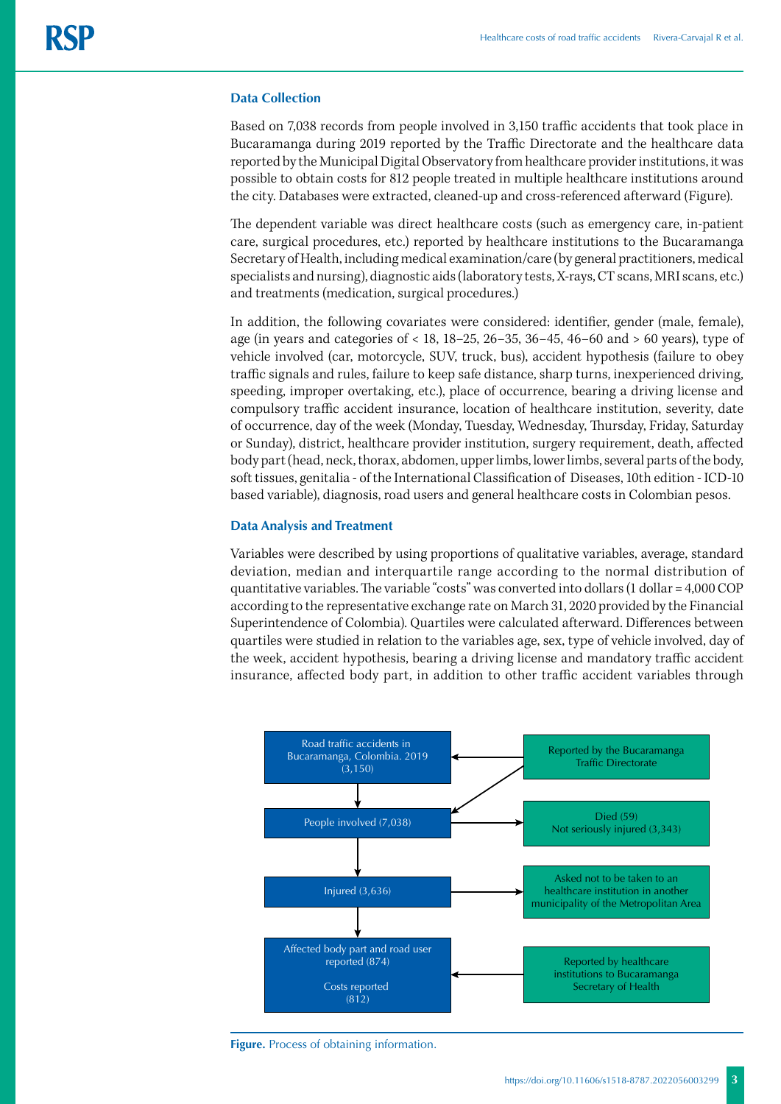#### **Data Collection**

Based on 7,038 records from people involved in 3,150 traffic accidents that took place in Bucaramanga during 2019 reported by the Traffic Directorate and the healthcare data reported by the Municipal Digital Observatory from healthcare provider institutions, it was possible to obtain costs for 812 people treated in multiple healthcare institutions around the city. Databases were extracted, cleaned-up and cross-referenced afterward (Figure).

The dependent variable was direct healthcare costs (such as emergency care, in-patient care, surgical procedures, etc.) reported by healthcare institutions to the Bucaramanga Secretary of Health, including medical examination/care (by general practitioners, medical specialists and nursing), diagnostic aids (laboratory tests, X-rays, CT scans, MRI scans, etc.) and treatments (medication, surgical procedures.)

In addition, the following covariates were considered: identifier, gender (male, female), age (in years and categories of < 18, 18–25, 26–35, 36–45, 46–60 and > 60 years), type of vehicle involved (car, motorcycle, SUV, truck, bus), accident hypothesis (failure to obey traffic signals and rules, failure to keep safe distance, sharp turns, inexperienced driving, speeding, improper overtaking, etc.), place of occurrence, bearing a driving license and compulsory traffic accident insurance, location of healthcare institution, severity, date of occurrence, day of the week (Monday, Tuesday, Wednesday, Thursday, Friday, Saturday or Sunday), district, healthcare provider institution, surgery requirement, death, affected body part (head, neck, thorax, abdomen, upper limbs, lower limbs, several parts of the body, soft tissues, genitalia - of the International Classification of Diseases, 10th edition - ICD-10 based variable), diagnosis, road users and general healthcare costs in Colombian pesos.

#### **Data Analysis and Treatment**

Variables were described by using proportions of qualitative variables, average, standard deviation, median and interquartile range according to the normal distribution of quantitative variables. The variable "costs" was converted into dollars (1 dollar = 4,000 COP according to the representative exchange rate on March 31, 2020 provided by the Financial Superintendence of Colombia). Quartiles were calculated afterward. Differences between quartiles were studied in relation to the variables age, sex, type of vehicle involved, day of the week, accident hypothesis, bearing a driving license and mandatory traffic accident insurance, affected body part, in addition to other traffic accident variables through



**Figure.** Process of obtaining information.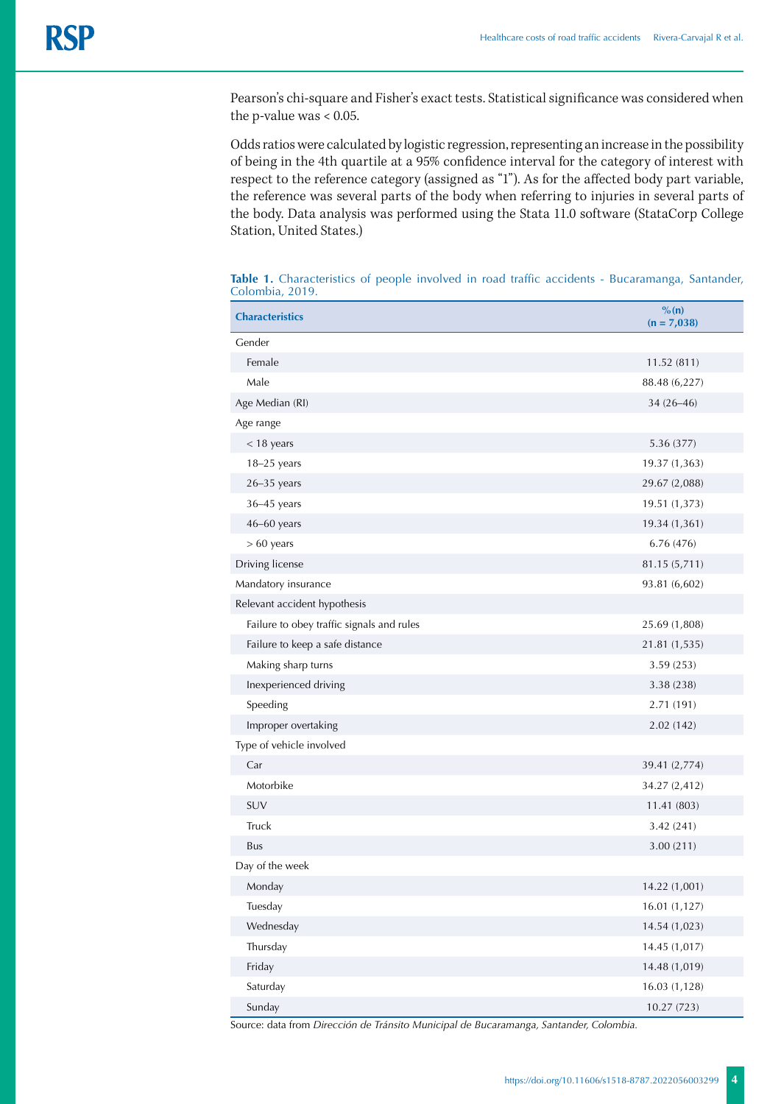Pearson's chi-square and Fisher's exact tests. Statistical significance was considered when the p-value was < 0.05.

Odds ratios were calculated by logistic regression, representing an increase in the possibility of being in the 4th quartile at a 95% confidence interval for the category of interest with respect to the reference category (assigned as "1"). As for the affected body part variable, the reference was several parts of the body when referring to injuries in several parts of the body. Data analysis was performed using the Stata 11.0 software (StataCorp College Station, United States.)

| <b>Characteristics</b>                    | $\%$ (n)<br>$(n = 7,038)$ |
|-------------------------------------------|---------------------------|
| Gender                                    |                           |
| Female                                    | 11.52 (811)               |
| Male                                      | 88.48 (6,227)             |
| Age Median (RI)                           | $34(26 - 46)$             |
| Age range                                 |                           |
| $<$ 18 years                              | 5.36 (377)                |
| $18-25$ years                             | 19.37 (1,363)             |
| $26 - 35$ years                           | 29.67 (2,088)             |
| 36-45 years                               | 19.51 (1,373)             |
| 46-60 years                               | 19.34 (1,361)             |
| $> 60$ years                              | 6.76 (476)                |
| Driving license                           | 81.15 (5,711)             |
| Mandatory insurance                       | 93.81 (6,602)             |
| Relevant accident hypothesis              |                           |
| Failure to obey traffic signals and rules | 25.69 (1,808)             |
| Failure to keep a safe distance           | 21.81 (1,535)             |
| Making sharp turns                        | 3.59 (253)                |
| Inexperienced driving                     | 3.38 (238)                |
| Speeding                                  | 2.71 (191)                |
| Improper overtaking                       | 2.02(142)                 |
| Type of vehicle involved                  |                           |
| Car                                       | 39.41 (2,774)             |
| Motorbike                                 | 34.27 (2,412)             |
| SUV                                       | 11.41 (803)               |
| Truck                                     | 3.42(241)                 |
| Bus                                       | 3.00(211)                 |
| Day of the week                           |                           |
| Monday                                    | 14.22 (1,001)             |
| Tuesday                                   | 16.01(1,127)              |
| Wednesday                                 | 14.54 (1,023)             |
| Thursday                                  | 14.45 (1,017)             |
| Friday                                    | 14.48 (1,019)             |
| Saturday                                  | 16.03 (1,128)             |
| Sunday                                    | 10.27(723)                |

**Table 1.** Characteristics of people involved in road traffic accidents - Bucaramanga, Santander, Colombia, 2019.

Source: data from *Dirección de Tránsito Municipal de Bucaramanga, Santander, Colombia.*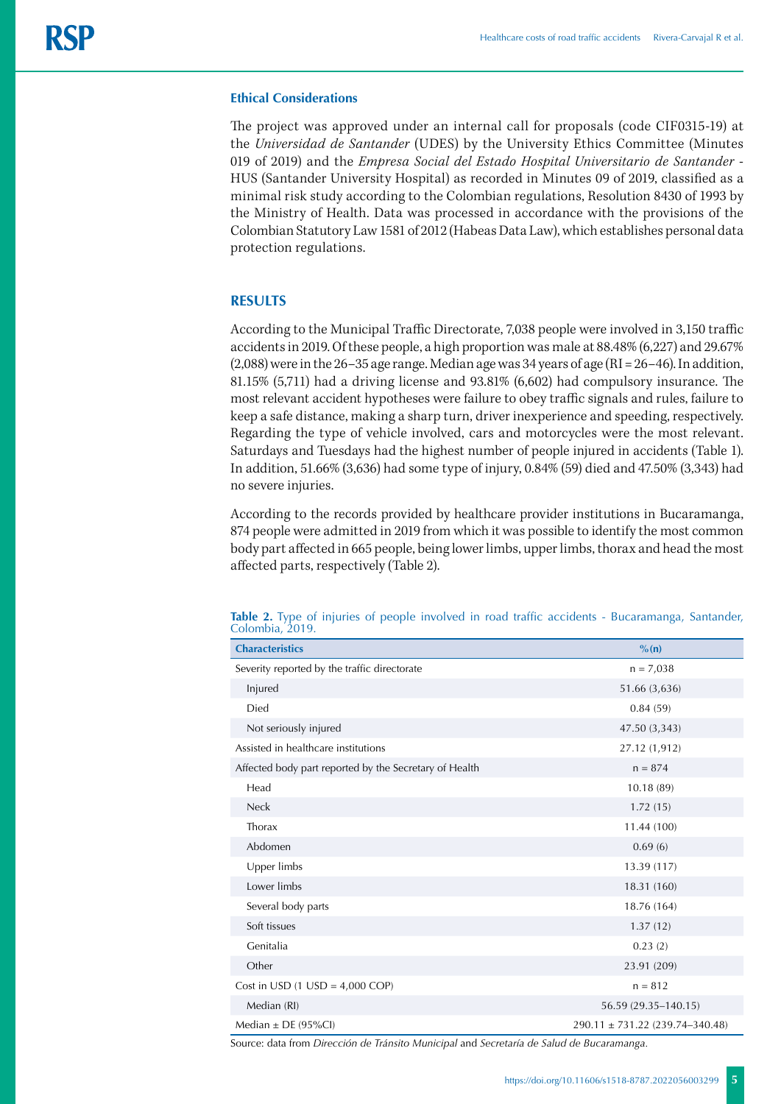#### **Ethical Considerations**

The project was approved under an internal call for proposals (code CIF0315-19) at the *Universidad de Santander* (UDES) by the University Ethics Committee (Minutes 019 of 2019) and the *Empresa Social del Estado Hospital Universitario de Santander* - HUS (Santander University Hospital) as recorded in Minutes 09 of 2019, classified as a minimal risk study according to the Colombian regulations, Resolution 8430 of 1993 by the Ministry of Health. Data was processed in accordance with the provisions of the Colombian Statutory Law 1581 of 2012 (Habeas Data Law), which establishes personal data protection regulations.

#### **RESULTS**

According to the Municipal Traffic Directorate, 7,038 people were involved in 3,150 traffic accidents in 2019. Of these people, a high proportion was male at 88.48% (6,227) and 29.67% (2,088) were in the 26–35 age range. Median age was 34 years of age (RI = 26–46). In addition, 81.15% (5,711) had a driving license and 93.81% (6,602) had compulsory insurance. The most relevant accident hypotheses were failure to obey traffic signals and rules, failure to keep a safe distance, making a sharp turn, driver inexperience and speeding, respectively. Regarding the type of vehicle involved, cars and motorcycles were the most relevant. Saturdays and Tuesdays had the highest number of people injured in accidents (Table 1). In addition, 51.66% (3,636) had some type of injury, 0.84% (59) died and 47.50% (3,343) had no severe injuries.

According to the records provided by healthcare provider institutions in Bucaramanga, 874 people were admitted in 2019 from which it was possible to identify the most common body part affected in 665 people, being lower limbs, upper limbs, thorax and head the most affected parts, respectively (Table 2).

| <b>Characteristics</b>                                 | $\%$ (n)                            |  |  |  |  |
|--------------------------------------------------------|-------------------------------------|--|--|--|--|
| Severity reported by the traffic directorate           | $n = 7,038$                         |  |  |  |  |
| Injured                                                | 51.66 (3,636)                       |  |  |  |  |
| Died                                                   | 0.84(59)                            |  |  |  |  |
| Not seriously injured                                  | 47.50 (3,343)                       |  |  |  |  |
| Assisted in healthcare institutions                    | 27.12 (1,912)                       |  |  |  |  |
| Affected body part reported by the Secretary of Health | $n = 874$                           |  |  |  |  |
| Head                                                   | 10.18(89)                           |  |  |  |  |
| <b>Neck</b>                                            | 1.72(15)                            |  |  |  |  |
| Thorax                                                 | 11.44 (100)                         |  |  |  |  |
| Abdomen                                                | 0.69(6)                             |  |  |  |  |
| Upper limbs                                            | 13.39 (117)                         |  |  |  |  |
| Lower limbs                                            | 18.31 (160)                         |  |  |  |  |
| Several body parts                                     | 18.76 (164)                         |  |  |  |  |
| Soft tissues                                           | 1.37(12)                            |  |  |  |  |
| Genitalia                                              | 0.23(2)                             |  |  |  |  |
| Other                                                  | 23.91 (209)                         |  |  |  |  |
| Cost in USD $(1 \text{ USD} = 4,000 \text{ COP})$      | $n = 812$                           |  |  |  |  |
| Median (RI)                                            | 56.59 (29.35-140.15)                |  |  |  |  |
| Median $\pm$ DE (95%Cl)                                | $290.11 \pm 731.22$ (239.74-340.48) |  |  |  |  |

**Table 2.** Type of injuries of people involved in road traffic accidents - Bucaramanga, Santander, Colombia, 2019.

Source: data from *Dirección de Tránsito Municipal* and *Secretaría de Salud de Bucaramanga.*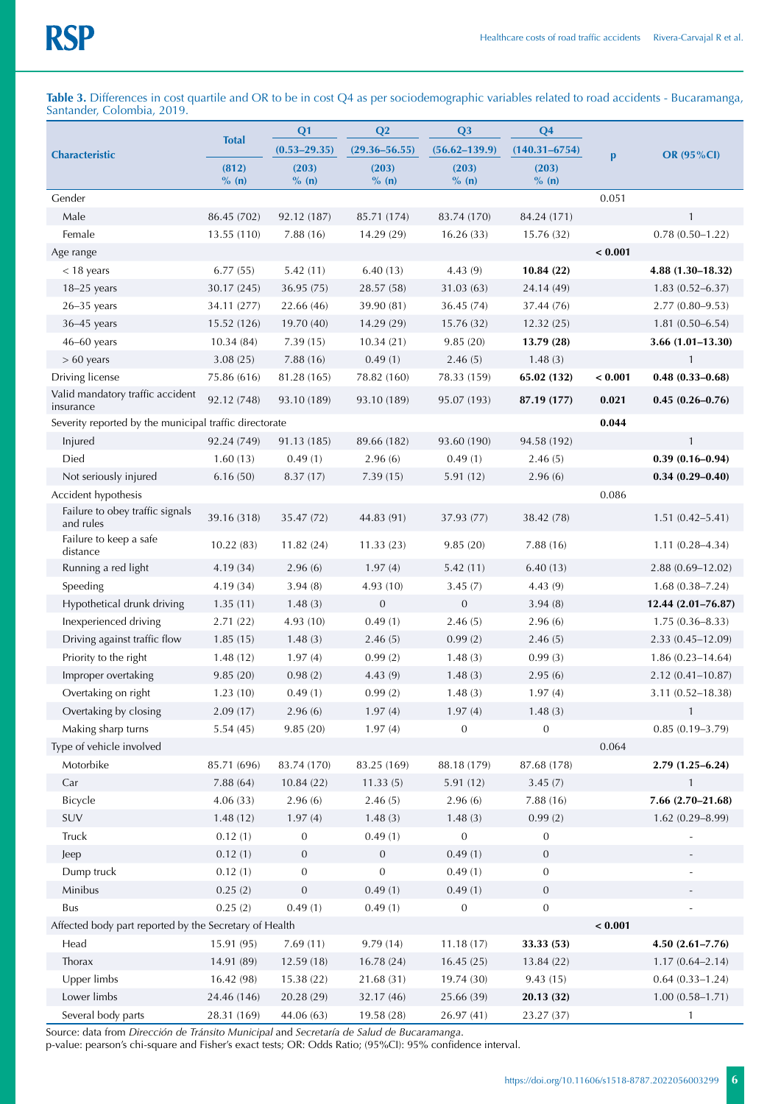**Table 3.** Differences in cost quartile and OR to be in cost Q4 as per sociodemographic variables related to road accidents - Bucaramanga, Santander, Colombia, 2019.

| <b>Characteristic</b>                                  |              | Q <sub>1</sub>   | Q2                | Q <sub>3</sub>    | Q <sub>4</sub>    |              |                      |
|--------------------------------------------------------|--------------|------------------|-------------------|-------------------|-------------------|--------------|----------------------|
|                                                        | <b>Total</b> | $(0.53 - 29.35)$ | $(29.36 - 56.55)$ | $(56.62 - 139.9)$ | $(140.31 - 6754)$ | $\mathbf{p}$ | <b>OR (95%CI)</b>    |
|                                                        | (812)        | (203)            | (203)             | (203)             | (203)             |              |                      |
| Gender                                                 | $\%$ (n)     | $\%$ (n)         | $\%$ (n)          | $\%$ (n)          | $\%$ (n)          | 0.051        |                      |
| Male                                                   | 86.45 (702)  | 92.12 (187)      | 85.71 (174)       | 83.74 (170)       | 84.24 (171)       |              | $\mathbf{1}$         |
| Female                                                 | 13.55 (110)  | 7.88(16)         | 14.29 (29)        | 16.26(33)         | 15.76 (32)        |              | $0.78(0.50 - 1.22)$  |
| Age range                                              |              |                  |                   |                   |                   | < 0.001      |                      |
| $<$ 18 years                                           | 6.77(55)     | 5.42(11)         | 6.40(13)          | 4.43(9)           | 10.84(22)         |              | 4.88 (1.30-18.32)    |
| $18-25$ years                                          | 30.17 (245)  | 36.95(75)        | 28.57 (58)        | 31.03(63)         | 24.14 (49)        |              | $1.83(0.52 - 6.37)$  |
| $26 - 35$ years                                        | 34.11 (277)  | 22.66 (46)       | 39.90 (81)        | 36.45 (74)        | 37.44 (76)        |              | $2.77(0.80 - 9.53)$  |
| $36-45$ years                                          | 15.52 (126)  | 19.70 (40)       | 14.29 (29)        | 15.76 (32)        | 12.32(25)         |              | $1.81(0.50 - 6.54)$  |
| $46-60$ years                                          | 10.34(84)    | 7.39(15)         | 10.34(21)         | 9.85(20)          | 13.79 (28)        |              | $3.66(1.01-13.30)$   |
| $> 60$ years                                           | 3.08(25)     | 7.88(16)         | 0.49(1)           | 2.46(5)           | 1.48(3)           |              | $\mathbf{1}$         |
| Driving license                                        | 75.86 (616)  | 81.28 (165)      | 78.82 (160)       | 78.33 (159)       | 65.02 (132)       | < 0.001      | $0.48(0.33 - 0.68)$  |
| Valid mandatory traffic accident                       |              |                  |                   |                   |                   |              |                      |
| insurance                                              | 92.12 (748)  | 93.10 (189)      | 93.10 (189)       | 95.07 (193)       | 87.19 (177)       | 0.021        | $0.45(0.26 - 0.76)$  |
| Severity reported by the municipal traffic directorate |              |                  |                   |                   |                   | 0.044        |                      |
| Injured                                                | 92.24 (749)  | 91.13 (185)      | 89.66 (182)       | 93.60 (190)       | 94.58 (192)       |              | $\mathbf{1}$         |
| Died                                                   | 1.60(13)     | 0.49(1)          | 2.96(6)           | 0.49(1)           | 2.46(5)           |              | $0.39(0.16 - 0.94)$  |
| Not seriously injured                                  | 6.16(50)     | 8.37(17)         | 7.39(15)          | 5.91(12)          | 2.96(6)           |              | $0.34(0.29 - 0.40)$  |
| Accident hypothesis                                    |              |                  |                   |                   |                   | 0.086        |                      |
| Failure to obey traffic signals<br>and rules           | 39.16 (318)  | 35.47 (72)       | 44.83 (91)        | 37.93 (77)        | 38.42 (78)        |              | $1.51(0.42 - 5.41)$  |
| Failure to keep a safe<br>distance                     | 10.22(83)    | 11.82(24)        | 11.33(23)         | 9.85(20)          | 7.88(16)          |              | $1.11(0.28 - 4.34)$  |
| Running a red light                                    | 4.19(34)     | 2.96(6)          | 1.97(4)           | 5.42(11)          | 6.40(13)          |              | $2.88(0.69 - 12.02)$ |
| Speeding                                               | 4.19 (34)    | 3.94(8)          | 4.93 (10)         | 3.45(7)           | 4.43(9)           |              | $1.68(0.38 - 7.24)$  |
| Hypothetical drunk driving                             | 1.35(11)     | 1.48(3)          | $\boldsymbol{0}$  | $\mathbf{0}$      | 3.94(8)           |              | 12.44 (2.01-76.87)   |
| Inexperienced driving                                  | 2.71(22)     | 4.93 (10)        | 0.49(1)           | 2.46(5)           | 2.96(6)           |              | $1.75(0.36 - 8.33)$  |
| Driving against traffic flow                           | 1.85(15)     | 1.48(3)          | 2.46(5)           | 0.99(2)           | 2.46(5)           |              | $2.33(0.45 - 12.09)$ |
| Priority to the right                                  | 1.48(12)     | 1.97(4)          | 0.99(2)           | 1.48(3)           | 0.99(3)           |              | $1.86(0.23 - 14.64)$ |
| Improper overtaking                                    | 9.85(20)     | 0.98(2)          | 4.43(9)           | 1.48(3)           | 2.95(6)           |              | $2.12(0.41 - 10.87)$ |
| Overtaking on right                                    | 1.23(10)     | 0.49(1)          | 0.99(2)           | 1.48(3)           | 1.97(4)           |              | $3.11(0.52 - 18.38)$ |
| Overtaking by closing                                  | 2.09(17)     | 2.96(6)          | 1.97(4)           | 1.97(4)           | 1.48(3)           |              | $\mathbf{1}$         |
| Making sharp turns                                     | 5.54(45)     | 9.85(20)         | 1.97(4)           | $\boldsymbol{0}$  | $\boldsymbol{0}$  |              | $0.85(0.19 - 3.79)$  |
| Type of vehicle involved                               |              |                  |                   |                   |                   | 0.064        |                      |
| Motorbike                                              | 85.71 (696)  | 83.74 (170)      | 83.25 (169)       | 88.18 (179)       | 87.68 (178)       |              | $2.79(1.25 - 6.24)$  |
| Car                                                    | 7.88 (64)    | 10.84(22)        | 11.33(5)          | 5.91(12)          | 3.45(7)           |              | $\mathbf{1}$         |
| Bicycle                                                | 4.06(33)     | 2.96(6)          | 2.46(5)           | 2.96(6)           | 7.88 (16)         |              | $7.66(2.70-21.68)$   |
| SUV                                                    | 1.48(12)     | 1.97(4)          | 1.48(3)           | 1.48(3)           | 0.99(2)           |              | $1.62(0.29 - 8.99)$  |
| Truck                                                  | 0.12(1)      | $\boldsymbol{0}$ | 0.49(1)           | $\boldsymbol{0}$  | $\boldsymbol{0}$  |              |                      |
| Jeep                                                   | 0.12(1)      | $\boldsymbol{0}$ | $\mathbf{0}$      | 0.49(1)           | $\boldsymbol{0}$  |              |                      |
| Dump truck                                             | 0.12(1)      | $\boldsymbol{0}$ | $\boldsymbol{0}$  | 0.49(1)           | $\mathbf{0}$      |              |                      |
| Minibus                                                | 0.25(2)      | $\boldsymbol{0}$ | 0.49(1)           | 0.49(1)           | $\mathbf{0}$      |              |                      |
| Bus                                                    | 0.25(2)      | 0.49(1)          | 0.49(1)           | $\boldsymbol{0}$  | $\boldsymbol{0}$  |              |                      |
| Affected body part reported by the Secretary of Health |              |                  |                   |                   |                   | < 0.001      |                      |
| Head                                                   | 15.91 (95)   | 7.69(11)         | 9.79 (14)         | 11.18(17)         | 33.33 (53)        |              | $4.50(2.61 - 7.76)$  |
| Thorax                                                 | 14.91 (89)   | 12.59 (18)       | 16.78 (24)        | 16.45(25)         | 13.84 (22)        |              | $1.17(0.64 - 2.14)$  |
| Upper limbs                                            | 16.42 (98)   | 15.38(22)        | 21.68 (31)        | 19.74 (30)        | 9.43(15)          |              | $0.64(0.33 - 1.24)$  |
| Lower limbs                                            | 24.46 (146)  | 20.28 (29)       | 32.17 (46)        | 25.66 (39)        | 20.13 (32)        |              | $1.00(0.58 - 1.71)$  |
| Several body parts                                     | 28.31 (169)  | 44.06 (63)       | 19.58 (28)        | 26.97 (41)        | 23.27 (37)        |              | $\mathbf{1}$         |

Source: data from *Dirección de Tránsito Municipal* and *Secretaría de Salud de Bucaramanga*.

p-value: pearson's chi-square and Fisher's exact tests; OR: Odds Ratio; (95%CI): 95% confidence interval.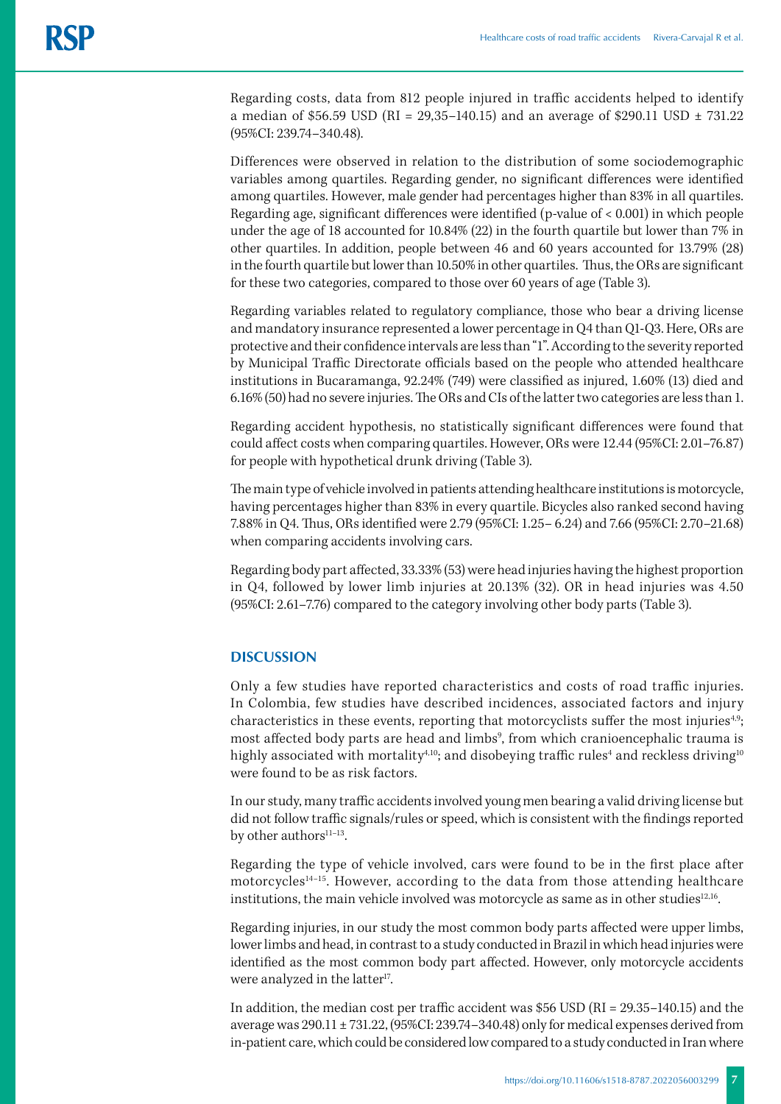Regarding costs, data from 812 people injured in traffic accidents helped to identify a median of \$56.59 USD (RI = 29,35-140.15) and an average of \$290.11 USD  $\pm$  731.22 (95%CI: 239.74–340.48).

Differences were observed in relation to the distribution of some sociodemographic variables among quartiles. Regarding gender, no significant differences were identified among quartiles. However, male gender had percentages higher than 83% in all quartiles. Regarding age, significant differences were identified (p-value of  $< 0.001$ ) in which people under the age of 18 accounted for 10.84% (22) in the fourth quartile but lower than 7% in other quartiles. In addition, people between 46 and 60 years accounted for 13.79% (28) in the fourth quartile but lower than 10.50% in other quartiles. Thus, the ORs are significant for these two categories, compared to those over 60 years of age (Table 3).

Regarding variables related to regulatory compliance, those who bear a driving license and mandatory insurance represented a lower percentage in Q4 than Q1-Q3. Here, ORs are protective and their confidence intervals are less than "1". According to the severity reported by Municipal Traffic Directorate officials based on the people who attended healthcare institutions in Bucaramanga, 92.24% (749) were classified as injured, 1.60% (13) died and 6.16% (50) had no severe injuries. The ORs and CIs of the latter two categories are less than 1.

Regarding accident hypothesis, no statistically significant differences were found that could affect costs when comparing quartiles. However, ORs were 12.44 (95%CI: 2.01–76.87) for people with hypothetical drunk driving (Table 3).

The main type of vehicle involved in patients attending healthcare institutions is motorcycle, having percentages higher than 83% in every quartile. Bicycles also ranked second having 7.88% in Q4. Thus, ORs identified were 2.79 (95%CI: 1.25– 6.24) and 7.66 (95%CI: 2.70–21.68) when comparing accidents involving cars.

Regarding body part affected, 33.33% (53) were head injuries having the highest proportion in Q4, followed by lower limb injuries at 20.13% (32). OR in head injuries was 4.50 (95%CI: 2.61–7.76) compared to the category involving other body parts (Table 3).

### **DISCUSSION**

Only a few studies have reported characteristics and costs of road traffic injuries. In Colombia, few studies have described incidences, associated factors and injury characteristics in these events, reporting that motorcyclists suffer the most injuries<sup>4,9</sup>; most affected body parts are head and limbs<sup>9</sup>, from which cranioencephalic trauma is highly associated with mortality $\sp{4,10}$ ; and disobeying traffic rules $\sp{4}$  and reckless driving $\sp{10}$ were found to be as risk factors.

In our study, many traffic accidents involved young men bearing a valid driving license but did not follow traffic signals/rules or speed, which is consistent with the findings reported by other authors<sup>11-13</sup>.

Regarding the type of vehicle involved, cars were found to be in the first place after motorcycles<sup>14-15</sup>. However, according to the data from those attending healthcare institutions, the main vehicle involved was motorcycle as same as in other studies $12,16$ .

Regarding injuries, in our study the most common body parts affected were upper limbs, lower limbs and head, in contrast to a study conducted in Brazil in which head injuries were identified as the most common body part affected. However, only motorcycle accidents were analyzed in the latter<sup>17</sup>.

In addition, the median cost per traffic accident was \$56 USD (RI = 29.35–140.15) and the average was 290.11 ± 731.22, (95%CI: 239.74–340.48) only for medical expenses derived from in-patient care, which could be considered low compared to a study conducted in Iran where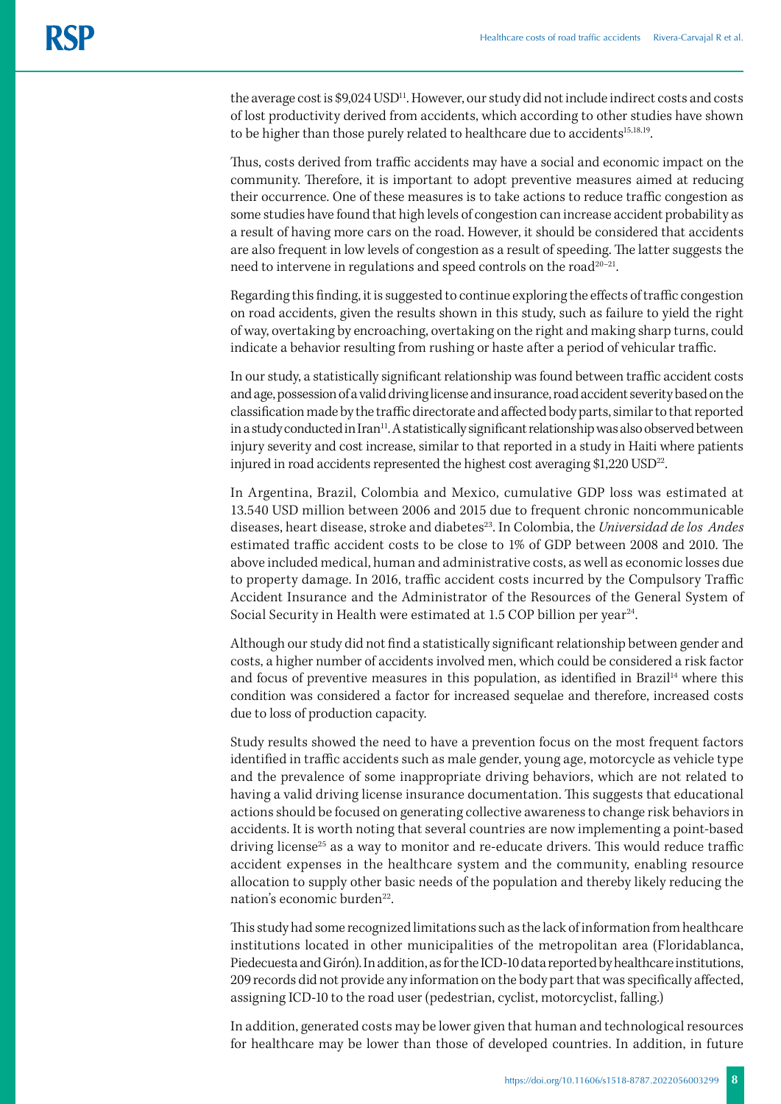the average cost is \$9,024 USD<sup>11</sup>. However, our study did not include indirect costs and costs of lost productivity derived from accidents, which according to other studies have shown to be higher than those purely related to healthcare due to accidents<sup>15,18,19</sup>.

Thus, costs derived from traffic accidents may have a social and economic impact on the community. Therefore, it is important to adopt preventive measures aimed at reducing their occurrence. One of these measures is to take actions to reduce traffic congestion as some studies have found that high levels of congestion can increase accident probability as a result of having more cars on the road. However, it should be considered that accidents are also frequent in low levels of congestion as a result of speeding. The latter suggests the need to intervene in regulations and speed controls on the road<sup>20-21</sup>.

Regarding this finding, it is suggested to continue exploring the effects of traffic congestion on road accidents, given the results shown in this study, such as failure to yield the right of way, overtaking by encroaching, overtaking on the right and making sharp turns, could indicate a behavior resulting from rushing or haste after a period of vehicular traffic.

In our study, a statistically significant relationship was found between traffic accident costs and age, possession of a valid driving license and insurance, road accident severity based on the classification made by the traffic directorate and affected body parts, similar to that reported in a study conducted in Iran<sup>11</sup>. A statistically significant relationship was also observed between injury severity and cost increase, similar to that reported in a study in Haiti where patients injured in road accidents represented the highest cost averaging  $$1,220$  USD<sup>22</sup>.

In Argentina, Brazil, Colombia and Mexico, cumulative GDP loss was estimated at 13.540 USD million between 2006 and 2015 due to frequent chronic noncommunicable diseases, heart disease, stroke and diabetes<sup>23</sup>. In Colombia, the *Universidad de los Andes* estimated traffic accident costs to be close to 1% of GDP between 2008 and 2010. The above included medical, human and administrative costs, as well as economic losses due to property damage. In 2016, traffic accident costs incurred by the Compulsory Traffic Accident Insurance and the Administrator of the Resources of the General System of Social Security in Health were estimated at 1.5 COP billion per year<sup>24</sup>.

Although our study did not find a statistically significant relationship between gender and costs, a higher number of accidents involved men, which could be considered a risk factor and focus of preventive measures in this population, as identified in Brazil<sup>14</sup> where this condition was considered a factor for increased sequelae and therefore, increased costs due to loss of production capacity.

Study results showed the need to have a prevention focus on the most frequent factors identified in traffic accidents such as male gender, young age, motorcycle as vehicle type and the prevalence of some inappropriate driving behaviors, which are not related to having a valid driving license insurance documentation. This suggests that educational actions should be focused on generating collective awareness to change risk behaviors in accidents. It is worth noting that several countries are now implementing a point-based driving license<sup>25</sup> as a way to monitor and re-educate drivers. This would reduce traffic accident expenses in the healthcare system and the community, enabling resource allocation to supply other basic needs of the population and thereby likely reducing the nation's economic burden<sup>22</sup>.

This study had some recognized limitations such as the lack of information from healthcare institutions located in other municipalities of the metropolitan area (Floridablanca, Piedecuesta and Girón). In addition, as for the ICD-10 data reported by healthcare institutions, 209 records did not provide any information on the body part that was specifically affected, assigning ICD-10 to the road user (pedestrian, cyclist, motorcyclist, falling.)

In addition, generated costs may be lower given that human and technological resources for healthcare may be lower than those of developed countries. In addition, in future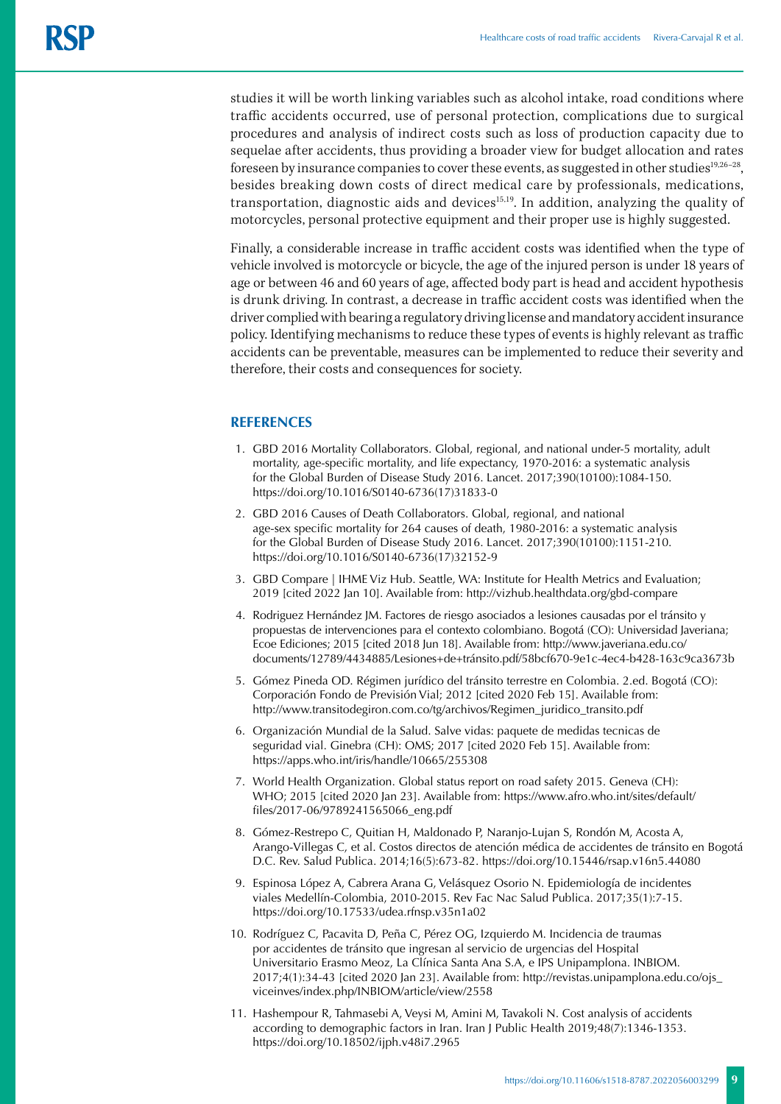studies it will be worth linking variables such as alcohol intake, road conditions where traffic accidents occurred, use of personal protection, complications due to surgical procedures and analysis of indirect costs such as loss of production capacity due to sequelae after accidents, thus providing a broader view for budget allocation and rates foreseen by insurance companies to cover these events, as suggested in other studies<sup>19,26-28</sup>, besides breaking down costs of direct medical care by professionals, medications, transportation, diagnostic aids and devices $15,19$ . In addition, analyzing the quality of motorcycles, personal protective equipment and their proper use is highly suggested.

Finally, a considerable increase in traffic accident costs was identified when the type of vehicle involved is motorcycle or bicycle, the age of the injured person is under 18 years of age or between 46 and 60 years of age, affected body part is head and accident hypothesis is drunk driving. In contrast, a decrease in traffic accident costs was identified when the driver complied with bearing a regulatory driving license and mandatory accident insurance policy. Identifying mechanisms to reduce these types of events is highly relevant as traffic accidents can be preventable, measures can be implemented to reduce their severity and therefore, their costs and consequences for society.

#### **REFERENCES**

- 1. GBD 2016 Mortality Collaborators. Global, regional, and national under-5 mortality, adult mortality, age-specific mortality, and life expectancy, 1970-2016: a systematic analysis for the Global Burden of Disease Study 2016. Lancet. 2017;390(10100):1084-150. https://doi.org/10.1016/S0140-6736(17)31833-0
- 2. GBD 2016 Causes of Death Collaborators. Global, regional, and national age-sex specific mortality for 264 causes of death, 1980-2016: a systematic analysis for the Global Burden of Disease Study 2016. Lancet. 2017;390(10100):1151-210. https://doi.org/10.1016/S0140-6736(17)32152-9
- 3. GBD Compare | IHME Viz Hub. Seattle, WA: Institute for Health Metrics and Evaluation; 2019 [cited 2022 Jan 10]. Available from: http://vizhub.healthdata.org/gbd-compare
- 4. Rodriguez Hernández JM. Factores de riesgo asociados a lesiones causadas por el tránsito y propuestas de intervenciones para el contexto colombiano. Bogotá (CO): Universidad Javeriana; Ecoe Ediciones; 2015 [cited 2018 Jun 18]. Available from: http://www.javeriana.edu.co/ documents/12789/4434885/Lesiones+de+tránsito.pdf/58bcf670-9e1c-4ec4-b428-163c9ca3673b
- 5. Gómez Pineda OD. Régimen jurídico del tránsito terrestre en Colombia. 2.ed. Bogotá (CO): Corporación Fondo de Previsión Vial; 2012 [cited 2020 Feb 15]. Available from: http://www.transitodegiron.com.co/tg/archivos/Regimen\_juridico\_transito.pdf
- 6. Organización Mundial de la Salud. Salve vidas: paquete de medidas tecnicas de seguridad vial. Ginebra (CH): OMS; 2017 [cited 2020 Feb 15]. Available from: https://apps.who.int/iris/handle/10665/255308
- 7. World Health Organization. Global status report on road safety 2015. Geneva (CH): WHO; 2015 [cited 2020 Jan 23]. Available from: https://www.afro.who.int/sites/default/ files/2017-06/9789241565066\_eng.pdf
- 8. Gómez-Restrepo C, Quitian H, Maldonado P, Naranjo-Lujan S, Rondón M, Acosta A, Arango-Villegas C, et al. Costos directos de atención médica de accidentes de tránsito en Bogotá D.C. Rev. Salud Publica. 2014;16(5):673-82. https://doi.org/10.15446/rsap.v16n5.44080
- 9. Espinosa López A, Cabrera Arana G, Velásquez Osorio N. Epidemiología de incidentes viales Medellín-Colombia, 2010-2015. Rev Fac Nac Salud Publica. 2017;35(1):7-15. https://doi.org/10.17533/udea.rfnsp.v35n1a02
- 10. Rodríguez C, Pacavita D, Peña C, Pérez OG, Izquierdo M. Incidencia de traumas por accidentes de tránsito que ingresan al servicio de urgencias del Hospital Universitario Erasmo Meoz, La Clínica Santa Ana S.A, e IPS Unipamplona. INBIOM. 2017;4(1):34-43 [cited 2020 Jan 23]. Available from: http://revistas.unipamplona.edu.co/ojs\_ viceinves/index.php/INBIOM/article/view/2558
- 11. Hashempour R, Tahmasebi A, Veysi M, Amini M, Tavakoli N. Cost analysis of accidents according to demographic factors in Iran. Iran J Public Health 2019;48(7):1346-1353. https://doi.org/10.18502/ijph.v48i7.2965